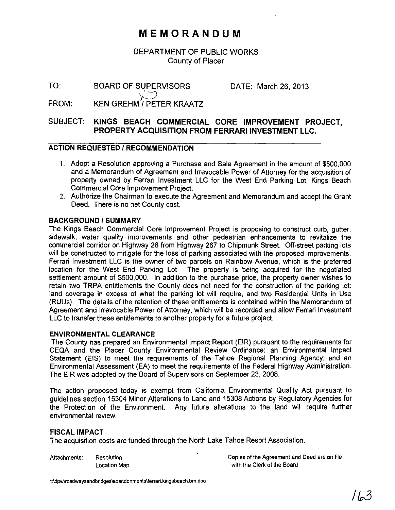# **MEMORANDUM**

# DEPARTMENT OF PUBLIC WORKS County of Placer

TO:

DATE: March 26, 2013

FROM: KEN GREHM)/PETER KRAATZ

BOARD OF SUPERVISORS

# SUBJECT: KINGS BEACH COMMERCIAL CORE IMPROVEMENT PROJECT, PROPERTY ACQUISITION FROM FERRARI INVESTMENT LLC.

## ACTION REQUESTED / RECOMMENDATION

- I. Adopt a Resolution approving a Purchase and Sale Agreement in the amount of \$500,000 and a Memorandum of Agreement and Irrevocable Power of Attorney for the acquisition of property owned by Ferrari Investment LLC for the West End Parking Lot, Kings Beach Commercial Core Improvement Project.
- 2. Authorize the Chairman to execute the Agreement and Memorandum and accept the Grant Deed. There is no net County cost.

#### BACKGROUND / SUMMARY

The Kings Beach Commercial Core Improvement Project is proposing to construct curb, gutter, sidewalk, water quality improvements and other pedestrian enhancements to revitalize the commercial corridor on Highway 28 from Highway 267 to Chipmunk Street. Off-street parking lots will be constructed to mitigate for the loss of parking associated with the proposed improvements. Ferrari Investment LLC is the owner of two parcels on Rainbow Avenue, which is the preferred location for the West End Parking Lot. The property is being acquired for the negotiated settlement amount of \$500,000. In addition to the purchase price, the property owner wishes to retain two TRPA entitlements the County does not need for the construction of the parking lot: land coverage in excess of what the parking lot will require, and two Residential Units in Use (RUUs). The details of the retention of these entitlements is contained within the Memorandum of Agreement and Irrevocable Power of Attorney, which will be recorded and allow Ferrari Investment LLC to transfer these entitlements to another property for a future project.

#### ENVIRONMENTAL CLEARANCE

The County has prepared an Environmental Impact Report (EIR) pursuant to the requirements for CEQA and the Placer County Environmental Review Ordinance: an Environmental Impact Statement (EIS) to meet the requirements of the Tahoe Regional Planning Agency; and an Environmental Assessment (EA) to meet the requirements of the Federal Highway Administration. The EIR was adopted by the Board of Supervisors on September 23, 2008.

The action proposed today is exempt from California Environmental Quality Act pursuant to guidelines section 15304 Minor Alterations to Land and 15308 Actions by Regulatory Agencies for the Protection of the Environment. Any future alterations to the land will require further environmental review.

#### FISCAL IMPACT

The acquisition costs are funded through the North Lake Tahoe Resort Association.

Attachments: Resolution Location Map Copies of the Agreement and Deed are on file with the Clerk of the Board

t:\dpw\roadwaysandbridges\abandonments\ferrari,kingsbeach.bm.doc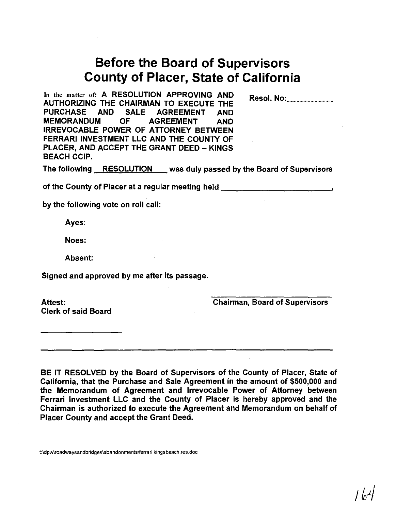# **Before the Board of Supervisors County of Placer, State of California**

In the matter of: A RESOLUTION APPROVING AND AUTHORIZING THE CHAIRMAN TO EXECUTE THE PURCHASE AND SALE AGREEMENT AND MEMORANDUM OF AGREEMENT AND IRREVOCABLE POWER OF ATTORNEY BETWEEN FERRARI INVESTMENT LLC AND THE COUNTY OF PLACER, AND ACCEPT THE GRANT DEED - KINGS BEACH CCIP.

Resol. No: .

The following RESOLUTION was duly passed by the Board of Supervisors

of the County of Placer at a regular meeting held **Source Algebra** 

by the following vote on roll call:

Ayes:

Noes:

Absent:

Signed and approved by me after its passage.

Attest: Clerk of said Board Chairman, Board of Supervisors

BE IT RESOLVED by the Board of Supervisors of the County of Placer, State of California, that the Purchase and Sale Agreement in the amount of \$500,000 and the Memorandum of Agreement and Irrevocable Power of Attorney between Ferrari Investment LLC and the County of Placer is hereby approved and the Chairman is authorized to execute the Agreement and Memorandum on behalf of Placer County and accept the Grant Deed.

t:\dpw\roadwaysandbridges\aband0 nments\ferrari. kingsbeach.res.doc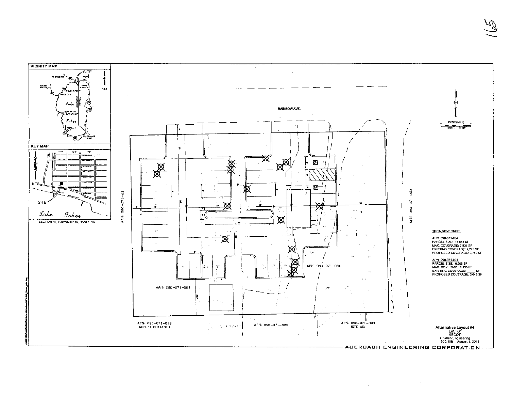